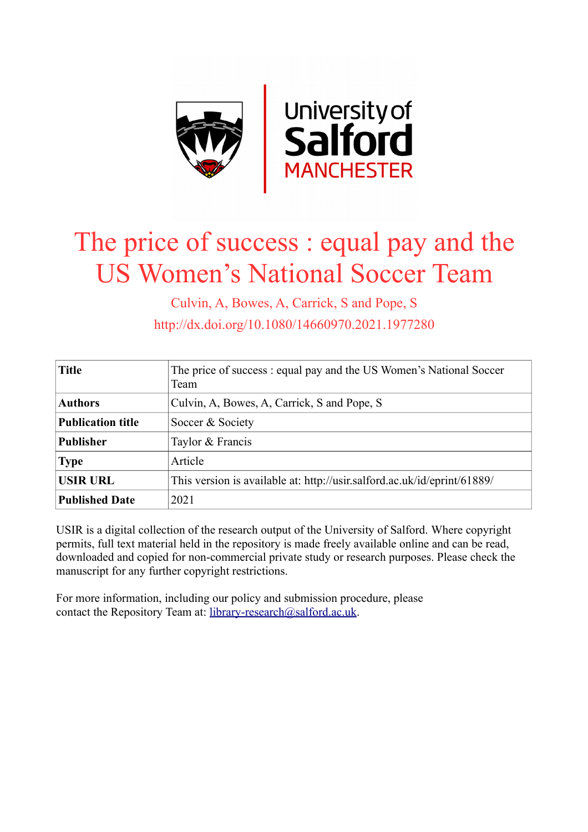

# The price of success : equal pay and the US Women's National Soccer Team

Culvin, A, Bowes, A, Carrick, S and Pope, S http://dx.doi.org/10.1080/14660970.2021.1977280

| <b>Title</b>             | The price of success : equal pay and the US Women's National Soccer<br>Team |
|--------------------------|-----------------------------------------------------------------------------|
| <b>Authors</b>           | Culvin, A, Bowes, A, Carrick, S and Pope, S                                 |
| <b>Publication title</b> | Soccer & Society                                                            |
| <b>Publisher</b>         | Taylor & Francis                                                            |
| <b>Type</b>              | Article                                                                     |
| <b>USIR URL</b>          | This version is available at: http://usir.salford.ac.uk/id/eprint/61889/    |
| <b>Published Date</b>    | 2021                                                                        |

USIR is a digital collection of the research output of the University of Salford. Where copyright permits, full text material held in the repository is made freely available online and can be read, downloaded and copied for non-commercial private study or research purposes. Please check the manuscript for any further copyright restrictions.

For more information, including our policy and submission procedure, please contact the Repository Team at: [library-research@salford.ac.uk.](mailto:library-research@salford.ac.uk)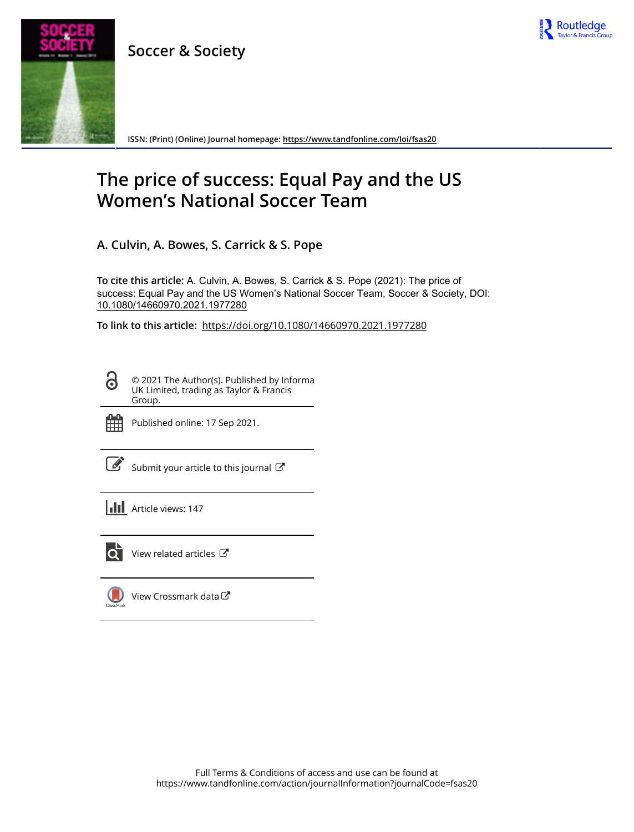

**ISSN: (Print) (Online) Journal homepage:<https://www.tandfonline.com/loi/fsas20>**

Routledge

## **The price of success: Equal Pay and the US Women's National Soccer Team**

**A. Culvin, A. Bowes, S. Carrick & S. Pope**

**To cite this article:** A. Culvin, A. Bowes, S. Carrick & S. Pope (2021): The price of success: Equal Pay and the US Women's National Soccer Team, Soccer & Society, DOI: [10.1080/14660970.2021.1977280](https://www.tandfonline.com/action/showCitFormats?doi=10.1080/14660970.2021.1977280)

**To link to this article:** <https://doi.org/10.1080/14660970.2021.1977280>

© 2021 The Author(s). Published by Informa UK Limited, trading as Taylor & Francis Group.



ര

Published online: 17 Sep 2021.

[Submit your article to this journal](https://www.tandfonline.com/action/authorSubmission?journalCode=fsas20&show=instructions)  $\mathbb{Z}$ 

**III** Article views: 147



 $\overrightarrow{Q}$  [View related articles](https://www.tandfonline.com/doi/mlt/10.1080/14660970.2021.1977280)  $\overrightarrow{C}$ 

[View Crossmark data](http://crossmark.crossref.org/dialog/?doi=10.1080/14660970.2021.1977280&domain=pdf&date_stamp=2021-09-17)<sup>で</sup>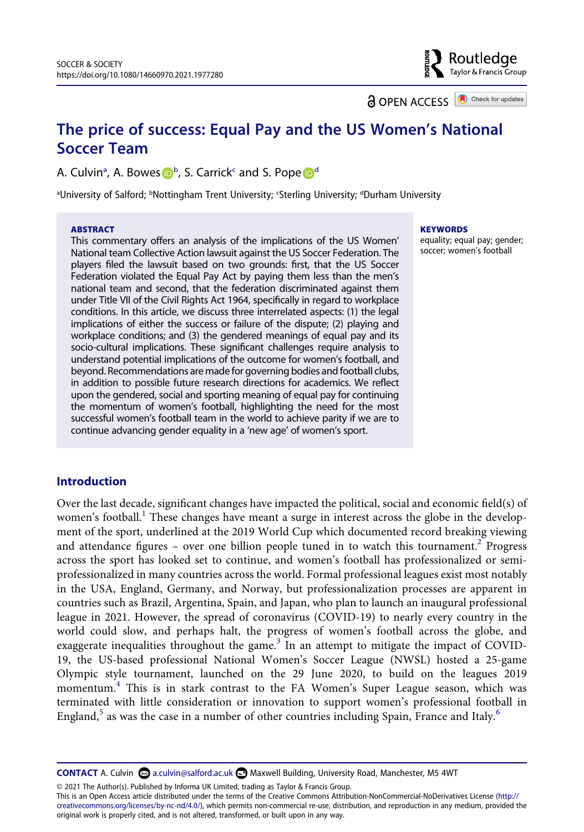Routledge Taylor & Francis Group

**a** OPEN ACCESS **a** Check for updates

### **The price of success: Equal Pay and the US Women's National Soccer Team**

A. Culvin<sup>a</sup>, A. Bowes D<sup>[b](#page-2-0)</sup>, S. Carrick<sup>c</sup> an[d](#page-2-0) S. Pope D<sup>d</sup>

<span id="page-2-0"></span>aUniversity of Salford; bNottingham Trent University; 'Sterling University; dDurham University

#### **ABSTRACT**

This commentary offers an analysis of the implications of the US Women' National team Collective Action lawsuit against the US Soccer Federation. The players filed the lawsuit based on two grounds: first, that the US Soccer Federation violated the Equal Pay Act by paying them less than the men's national team and second, that the federation discriminated against them under Title VII of the Civil Rights Act 1964, specifically in regard to workplace conditions. In this article, we discuss three interrelated aspects: (1) the legal implications of either the success or failure of the dispute; (2) playing and workplace conditions; and (3) the gendered meanings of equal pay and its socio-cultural implications. These significant challenges require analysis to understand potential implications of the outcome for women's football, and beyond. Recommendations are made for governing bodies and football clubs, in addition to possible future research directions for academics. We reflect upon the gendered, social and sporting meaning of equal pay for continuing the momentum of women's football, highlighting the need for the most successful women's football team in the world to achieve parity if we are to continue advancing gender equality in a 'new age' of women's sport.

#### **KEYWORDS**

equality; equal pay; gender; soccer; women's football

#### **Introduction**

Over the last decade, significant changes have impacted the political, social and economic field(s) of women's football.<sup>[1](#page-9-0)</sup> These changes have meant a surge in interest across the globe in the development of the sport, underlined at the 2019 World Cup which documented record breaking viewing and attendance figures – over one billion people tuned in to watch this tournament.<sup>2</sup> Progress across the sport has looked set to continue, and women's football has professionalized or semiprofessionalized in many countries across the world. Formal professional leagues exist most notably in the USA, England, Germany, and Norway, but professionalization processes are apparent in countries such as Brazil, Argentina, Spain, and Japan, who plan to launch an inaugural professional league in 2021. However, the spread of coronavirus (COVID-19) to nearly every country in the world could slow, and perhaps halt, the progress of women's football across the globe, and exaggerate inequalities throughout the game.<sup>[3](#page-9-2)</sup> In an attempt to mitigate the impact of COVID-19, the US-based professional National Women's Soccer League (NWSL) hosted a 25-game Olympic style tournament, launched on the 29 June 2020, to build on the leagues 2019 momentum[.4](#page-9-3) This is in stark contrast to the FA Women's Super League season, which was terminated with little consideration or innovation to support women's professional football in England,<sup>[5](#page-9-4)</sup> as was the case in a number of other countries including Spain, France and Italy.<sup>[6](#page-9-5)</sup>

**CONTACT** A. Culvin a.culvin@salford.ac.uk Maxwell Building, University Road, Manchester, M5 4WT

© 2021 The Author(s). Published by Informa UK Limited, trading as Taylor & Francis Group.

This is an Open Access article distributed under the terms of the Creative Commons Attribution-NonCommercial-NoDerivatives License (http:// creativecommons.org/licenses/by-nc-nd/4.0/), which permits non-commercial re-use, distribution, and reproduction in any medium, provided the original work is properly cited, and is not altered, transformed, or built upon in any way.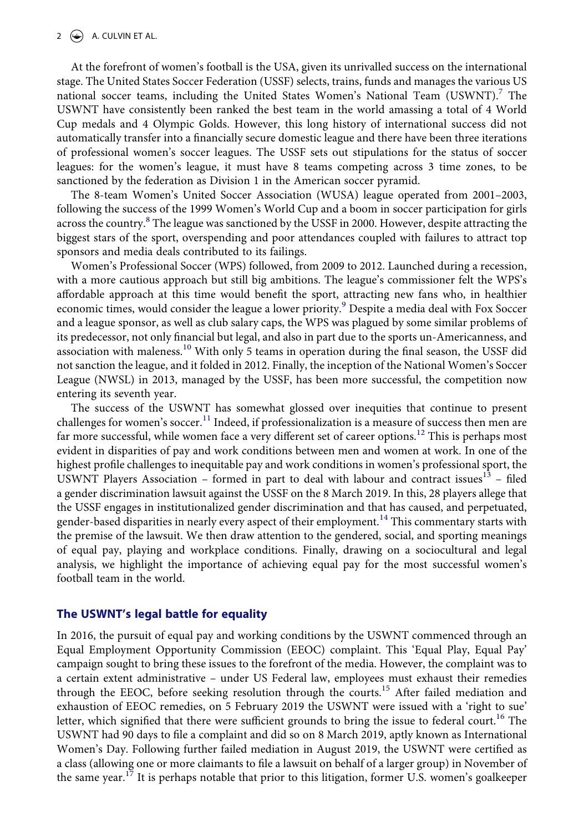At the forefront of women's football is the USA, given its unrivalled success on the international stage. The United States Soccer Federation (USSF) selects, trains, funds and manages the various US national soccer teams, including the United States Women's National Team  $(USWNT)$ .<sup>7</sup> The USWNT have consistently been ranked the best team in the world amassing a total of 4 World Cup medals and 4 Olympic Golds. However, this long history of international success did not automatically transfer into a financially secure domestic league and there have been three iterations of professional women's soccer leagues. The USSF sets out stipulations for the status of soccer leagues: for the women's league, it must have 8 teams competing across 3 time zones, to be sanctioned by the federation as Division 1 in the American soccer pyramid.

The 8-team Women's United Soccer Association (WUSA) league operated from 2001–2003, following the success of the 1999 Women's World Cup and a boom in soccer participation for girls across the country.<sup>8</sup> The league was sanctioned by the USSF in 2000. However, despite attracting the biggest stars of the sport, overspending and poor attendances coupled with failures to attract top sponsors and media deals contributed to its failings.

Women's Professional Soccer (WPS) followed, from 2009 to 2012. Launched during a recession, with a more cautious approach but still big ambitions. The league's commissioner felt the WPS's affordable approach at this time would benefit the sport, attracting new fans who, in healthier economic times, would consider the league a lower priority.<sup>[9](#page-9-8)</sup> Despite a media deal with Fox Soccer and a league sponsor, as well as club salary caps, the WPS was plagued by some similar problems of its predecessor, not only financial but legal, and also in part due to the sports un-Americanness, and association with maleness.<sup>10</sup> With only 5 teams in operation during the final season, the USSF did not sanction the league, and it folded in 2012. Finally, the inception of the National Women's Soccer League (NWSL) in 2013, managed by the USSF, has been more successful, the competition now entering its seventh year.

The success of the USWNT has somewhat glossed over inequities that continue to present challenges for women's soccer.<sup>[11](#page-9-10)</sup> Indeed, if professionalization is a measure of success then men are far more successful, while women face a very different set of career options.<sup>[12](#page-9-11)</sup> This is perhaps most evident in disparities of pay and work conditions between men and women at work. In one of the highest profile challenges to inequitable pay and work conditions in women's professional sport, the USWNT Players Association – formed in part to deal with labour and contract issues $13$  – filed a gender discrimination lawsuit against the USSF on the 8 March 2019. In this, 28 players allege that the USSF engages in institutionalized gender discrimination and that has caused, and perpetuated, gender-based disparities in nearly every aspect of their employment.<sup>14</sup> This commentary starts with the premise of the lawsuit. We then draw attention to the gendered, social, and sporting meanings of equal pay, playing and workplace conditions. Finally, drawing on a sociocultural and legal analysis, we highlight the importance of achieving equal pay for the most successful women's football team in the world.

#### **The USWNT's legal battle for equality**

In 2016, the pursuit of equal pay and working conditions by the USWNT commenced through an Equal Employment Opportunity Commission (EEOC) complaint. This 'Equal Play, Equal Pay' campaign sought to bring these issues to the forefront of the media. However, the complaint was to a certain extent administrative – under US Federal law, employees must exhaust their remedies through the EEOC, before seeking resolution through the courts.<sup>15</sup> After failed mediation and exhaustion of EEOC remedies, on 5 February 2019 the USWNT were issued with a 'right to sue' letter, which signified that there were sufficient grounds to bring the issue to federal court.<sup>16</sup> The USWNT had 90 days to file a complaint and did so on 8 March 2019, aptly known as International Women's Day. Following further failed mediation in August 2019, the USWNT were certified as a class (allowing one or more claimants to file a lawsuit on behalf of a larger group) in November of the same year.<sup>[17](#page-9-16)</sup> It is perhaps notable that prior to this litigation, former U.S. women's goalkeeper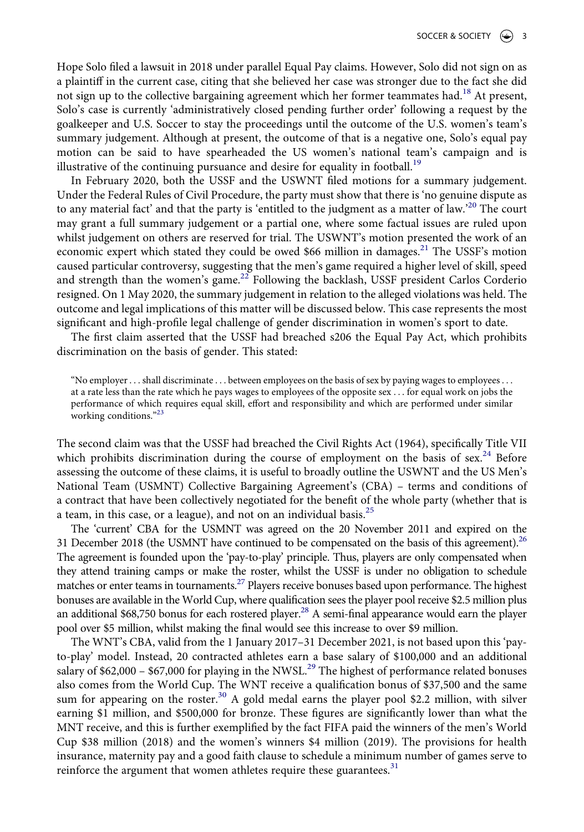Hope Solo filed a lawsuit in 2018 under parallel Equal Pay claims. However, Solo did not sign on as a plaintiff in the current case, citing that she believed her case was stronger due to the fact she did not sign up to the collective bargaining agreement which her former teammates had.<sup>[18](#page-9-17)</sup> At present, Solo's case is currently 'administratively closed pending further order' following a request by the goalkeeper and U.S. Soccer to stay the proceedings until the outcome of the U.S. women's team's summary judgement. Although at present, the outcome of that is a negative one, Solo's equal pay motion can be said to have spearheaded the US women's national team's campaign and is illustrative of the continuing pursuance and desire for equality in football.<sup>[19](#page-9-18)</sup>

In February 2020, both the USSF and the USWNT filed motions for a summary judgement. Under the Federal Rules of Civil Procedure, the party must show that there is 'no genuine dispute as to any material fact' and that the party is 'entitled to the judgment as a matter of law.'[20](#page-9-19) The court may grant a full summary judgement or a partial one, where some factual issues are ruled upon whilst judgement on others are reserved for trial. The USWNT's motion presented the work of an economic expert which stated they could be owed \$66 million in damages.<sup>[21](#page-9-20)</sup> The USSF's motion caused particular controversy, suggesting that the men's game required a higher level of skill, speed and strength than the women's game.<sup>22</sup> Following the backlash, USSF president Carlos Corderio resigned. On 1 May 2020, the summary judgement in relation to the alleged violations was held. The outcome and legal implications of this matter will be discussed below. This case represents the most significant and high-profile legal challenge of gender discrimination in women's sport to date.

The first claim asserted that the USSF had breached s206 the Equal Pay Act, which prohibits discrimination on the basis of gender. This stated:

"No employer . . . shall discriminate . . . between employees on the basis of sex by paying wages to employees . . . at a rate less than the rate which he pays wages to employees of the opposite sex . . . for equal work on jobs the performance of which requires equal skill, effort and responsibility and which are performed under similar working conditions."[23](#page-9-22)

The second claim was that the USSF had breached the Civil Rights Act (1964), specifically Title VII which prohibits discrimination during the course of employment on the basis of sex.<sup>24</sup> Before assessing the outcome of these claims, it is useful to broadly outline the USWNT and the US Men's National Team (USMNT) Collective Bargaining Agreement's (CBA) – terms and conditions of a contract that have been collectively negotiated for the benefit of the whole party (whether that is a team, in this case, or a league), and not on an individual basis. $^{25}$  $^{25}$  $^{25}$ 

The 'current' CBA for the USMNT was agreed on the 20 November 2011 and expired on the 31 December 2018 (the USMNT have continued to be compensated on the basis of this agreement).<sup>26</sup> The agreement is founded upon the 'pay-to-play' principle. Thus, players are only compensated when they attend training camps or make the roster, whilst the USSF is under no obligation to schedule matches or enter teams in tournaments.<sup>27</sup> Players receive bonuses based upon performance. The highest bonuses are available in the World Cup, where qualification sees the player pool receive \$2.5 million plus an additional \$68,750 bonus for each rostered player.<sup>28</sup> A semi-final appearance would earn the player pool over \$5 million, whilst making the final would see this increase to over \$9 million.

The WNT's CBA, valid from the 1 January 2017–31 December 2021, is not based upon this 'payto-play' model. Instead, 20 contracted athletes earn a base salary of \$100,000 and an additional salary of  $$62,000 - $67,000$  for playing in the NWSL.<sup>29</sup> The highest of performance related bonuses also comes from the World Cup. The WNT receive a qualification bonus of \$37,500 and the same sum for appearing on the roster.<sup>30</sup> A gold medal earns the player pool \$2.2 million, with silver earning \$1 million, and \$500,000 for bronze. These figures are significantly lower than what the MNT receive, and this is further exemplified by the fact FIFA paid the winners of the men's World Cup \$38 million (2018) and the women's winners \$4 million (2019). The provisions for health insurance, maternity pay and a good faith clause to schedule a minimum number of games serve to reinforce the argument that women athletes require these guarantees. $31$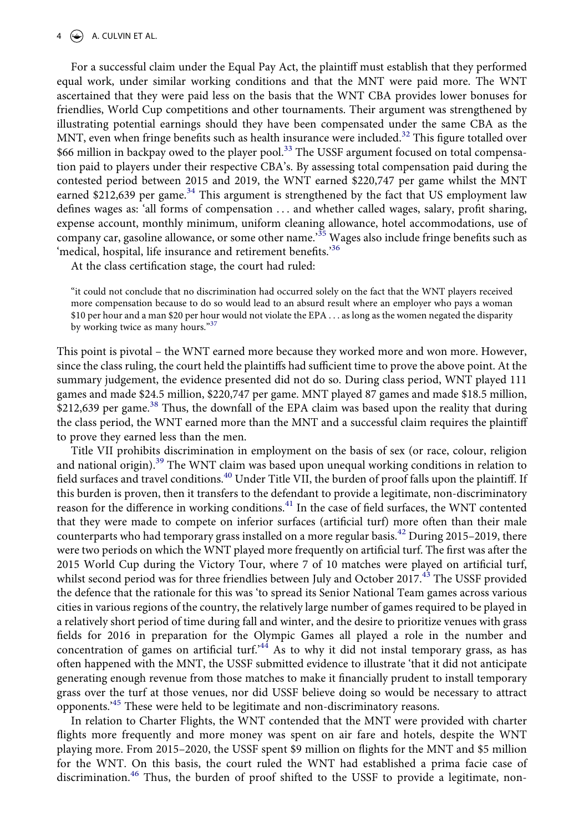#### $4 \quad (*)$  A. CULVIN ET AL.

For a successful claim under the Equal Pay Act, the plaintiff must establish that they performed equal work, under similar working conditions and that the MNT were paid more. The WNT ascertained that they were paid less on the basis that the WNT CBA provides lower bonuses for friendlies, World Cup competitions and other tournaments. Their argument was strengthened by illustrating potential earnings should they have been compensated under the same CBA as the MNT, even when fringe benefits such as health insurance were included.<sup>32</sup> This figure totalled over \$66 million in backpay owed to the player pool.<sup>[33](#page-10-7)</sup> The USSF argument focused on total compensation paid to players under their respective CBA's. By assessing total compensation paid during the contested period between 2015 and 2019, the WNT earned \$220,747 per game whilst the MNT earned \$212,639 per game.<sup>34</sup> This argument is strengthened by the fact that US employment law defines wages as: 'all forms of compensation ... and whether called wages, salary, profit sharing, expense account, monthly minimum, uniform cleaning allowance, hotel accommodations, use of company car, gasoline allowance, or some other name.'[35](#page-10-9) Wages also include fringe benefits such as 'medical, hospital, life insurance and retirement benefits.['36](#page-10-10)

At the class certification stage, the court had ruled:

"it could not conclude that no discrimination had occurred solely on the fact that the WNT players received more compensation because to do so would lead to an absurd result where an employer who pays a woman \$10 per hour and a man \$20 per hour would not violate the EPA . . . as long as the women negated the disparity by working twice as many hours."[37](#page-10-11)

This point is pivotal – the WNT earned more because they worked more and won more. However, since the class ruling, the court held the plaintiffs had sufficient time to prove the above point. At the summary judgement, the evidence presented did not do so. During class period, WNT played 111 games and made \$24.5 million, \$220,747 per game. MNT played 87 games and made \$18.5 million,  $$212,639$  per game.<sup>38</sup> Thus, the downfall of the EPA claim was based upon the reality that during the class period, the WNT earned more than the MNT and a successful claim requires the plaintiff to prove they earned less than the men.

Title VII prohibits discrimination in employment on the basis of sex (or race, colour, religion and national origin)[.39](#page-10-13) The WNT claim was based upon unequal working conditions in relation to field surfaces and travel conditions.<sup>[40](#page-10-14)</sup> Under Title VII, the burden of proof falls upon the plaintiff. If this burden is proven, then it transfers to the defendant to provide a legitimate, non-discriminatory reason for the difference in working conditions.<sup>41</sup> In the case of field surfaces, the WNT contented that they were made to compete on inferior surfaces (artificial turf) more often than their male counterparts who had temporary grass installed on a more regular basis.<sup>[42](#page-10-16)</sup> During 2015–2019, there were two periods on which the WNT played more frequently on artificial turf. The first was after the 2015 World Cup during the Victory Tour, where 7 of 10 matches were played on artificial turf, whilst second period was for three friendlies between July and October 2017.<sup>43</sup> The USSF provided the defence that the rationale for this was 'to spread its Senior National Team games across various cities in various regions of the country, the relatively large number of games required to be played in a relatively short period of time during fall and winter, and the desire to prioritize venues with grass fields for 2016 in preparation for the Olympic Games all played a role in the number and concentration of games on artificial turf.<sup>44</sup> As to why it did not instal temporary grass, as has often happened with the MNT, the USSF submitted evidence to illustrate 'that it did not anticipate generating enough revenue from those matches to make it financially prudent to install temporary grass over the turf at those venues, nor did USSF believe doing so would be necessary to attract opponents.['45](#page-10-19) These were held to be legitimate and non-discriminatory reasons.

In relation to Charter Flights, the WNT contended that the MNT were provided with charter flights more frequently and more money was spent on air fare and hotels, despite the WNT playing more. From 2015–2020, the USSF spent \$9 million on flights for the MNT and \$5 million for the WNT. On this basis, the court ruled the WNT had established a prima facie case of discrimination.[46](#page-10-20) Thus, the burden of proof shifted to the USSF to provide a legitimate, non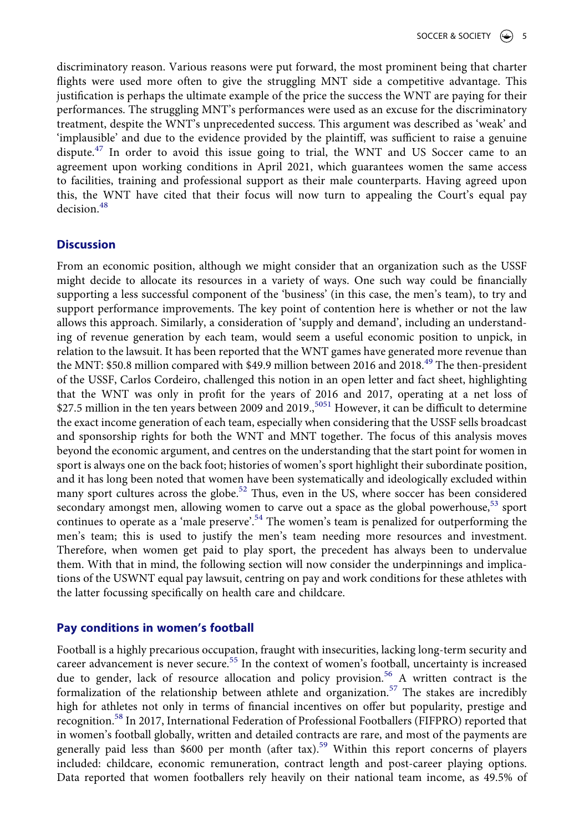discriminatory reason. Various reasons were put forward, the most prominent being that charter flights were used more often to give the struggling MNT side a competitive advantage. This justification is perhaps the ultimate example of the price the success the WNT are paying for their performances. The struggling MNT's performances were used as an excuse for the discriminatory treatment, despite the WNT's unprecedented success. This argument was described as 'weak' and 'implausible' and due to the evidence provided by the plaintiff, was sufficient to raise a genuine dispute.<sup>[47](#page-10-21)</sup> In order to avoid this issue going to trial, the WNT and US Soccer came to an agreement upon working conditions in April 2021, which guarantees women the same access to facilities, training and professional support as their male counterparts. Having agreed upon this, the WNT have cited that their focus will now turn to appealing the Court's equal pay  $decision<sup>48</sup>$  $decision<sup>48</sup>$  $decision<sup>48</sup>$ 

#### **Discussion**

From an economic position, although we might consider that an organization such as the USSF might decide to allocate its resources in a variety of ways. One such way could be financially supporting a less successful component of the 'business' (in this case, the men's team), to try and support performance improvements. The key point of contention here is whether or not the law allows this approach. Similarly, a consideration of 'supply and demand', including an understanding of revenue generation by each team, would seem a useful economic position to unpick, in relation to the lawsuit. It has been reported that the WNT games have generated more revenue than the MNT: \$50.8 million compared with \$49.9 million between 2016 and 2018.<sup>49</sup> The then-president of the USSF, Carlos Cordeiro, challenged this notion in an open letter and fact sheet, highlighting that the WNT was only in profit for the years of 2016 and 2017, operating at a net loss of \$27.5 million in the ten years between 2009 and 2019.<sup>[50](#page-10-24)[51](#page-10-25)</sup> However, it can be difficult to determine the exact income generation of each team, especially when considering that the USSF sells broadcast and sponsorship rights for both the WNT and MNT together. The focus of this analysis moves beyond the economic argument, and centres on the understanding that the start point for women in sport is always one on the back foot; histories of women's sport highlight their subordinate position, and it has long been noted that women have been systematically and ideologically excluded within many sport cultures across the globe.<sup>52</sup> Thus, even in the US, where soccer has been considered secondary amongst men, allowing women to carve out a space as the global powerhouse,  $53$  sport continues to operate as a 'male preserve'.<sup>[54](#page-10-28)</sup> The women's team is penalized for outperforming the men's team; this is used to justify the men's team needing more resources and investment. Therefore, when women get paid to play sport, the precedent has always been to undervalue them. With that in mind, the following section will now consider the underpinnings and implications of the USWNT equal pay lawsuit, centring on pay and work conditions for these athletes with the latter focussing specifically on health care and childcare.

#### **Pay conditions in women's football**

Football is a highly precarious occupation, fraught with insecurities, lacking long-term security and career advancement is never secure.<sup>[55](#page-10-29)</sup> In the context of women's football, uncertainty is increased due to gender, lack of resource allocation and policy provision.<sup>56</sup> A written contract is the formalization of the relationship between athlete and organization.<sup>[57](#page-10-31)</sup> The stakes are incredibly high for athletes not only in terms of financial incentives on offer but popularity, prestige and recognition.[58](#page-10-32) In 2017, International Federation of Professional Footballers (FIFPRO) reported that in women's football globally, written and detailed contracts are rare, and most of the payments are generally paid less than \$600 per month (after tax).<sup>59</sup> Within this report concerns of players included: childcare, economic remuneration, contract length and post-career playing options. Data reported that women footballers rely heavily on their national team income, as 49.5% of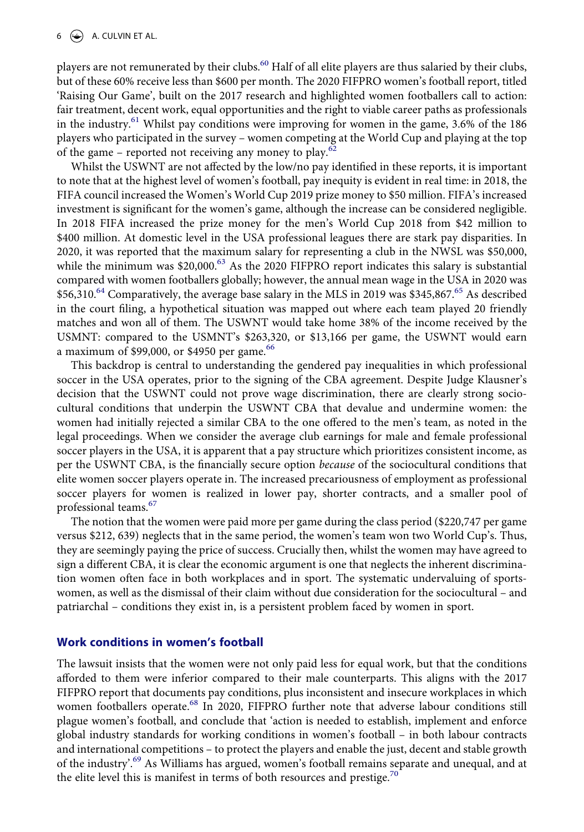players are not remunerated by their clubs.<sup>[60](#page-10-34)</sup> Half of all elite players are thus salaried by their clubs, but of these 60% receive less than \$600 per month. The 2020 FIFPRO women's football report, titled 'Raising Our Game', built on the 2017 research and highlighted women footballers call to action: fair treatment, decent work, equal opportunities and the right to viable career paths as professionals in the industry.<sup>61</sup> Whilst pay conditions were improving for women in the game, 3.6% of the 186 players who participated in the survey – women competing at the World Cup and playing at the top of the game – reported not receiving any money to play.<sup>[62](#page-10-36)</sup>

Whilst the USWNT are not affected by the low/no pay identified in these reports, it is important to note that at the highest level of women's football, pay inequity is evident in real time: in 2018, the FIFA council increased the Women's World Cup 2019 prize money to \$50 million. FIFA's increased investment is significant for the women's game, although the increase can be considered negligible. In 2018 FIFA increased the prize money for the men's World Cup 2018 from \$42 million to \$400 million. At domestic level in the USA professional leagues there are stark pay disparities. In 2020, it was reported that the maximum salary for representing a club in the NWSL was \$50,000, while the minimum was \$20,000.<sup>63</sup> As the 2020 FIFPRO report indicates this salary is substantial compared with women footballers globally; however, the annual mean wage in the USA in 2020 was \$56,310.<sup>64</sup> Comparatively, the average base salary in the MLS in 2019 was \$345,867.<sup>65</sup> As described in the court filing, a hypothetical situation was mapped out where each team played 20 friendly matches and won all of them. The USWNT would take home 38% of the income received by the USMNT: compared to the USMNT's \$263,320, or \$13,166 per game, the USWNT would earn a maximum of \$99,000, or \$4950 per game. $66$ 

This backdrop is central to understanding the gendered pay inequalities in which professional soccer in the USA operates, prior to the signing of the CBA agreement. Despite Judge Klausner's decision that the USWNT could not prove wage discrimination, there are clearly strong sociocultural conditions that underpin the USWNT CBA that devalue and undermine women: the women had initially rejected a similar CBA to the one offered to the men's team, as noted in the legal proceedings. When we consider the average club earnings for male and female professional soccer players in the USA, it is apparent that a pay structure which prioritizes consistent income, as per the USWNT CBA, is the financially secure option *because* of the sociocultural conditions that elite women soccer players operate in. The increased precariousness of employment as professional soccer players for women is realized in lower pay, shorter contracts, and a smaller pool of professional teams.[67](#page-10-41)

The notion that the women were paid more per game during the class period (\$220,747 per game versus \$212, 639) neglects that in the same period, the women's team won two World Cup's. Thus, they are seemingly paying the price of success. Crucially then, whilst the women may have agreed to sign a different CBA, it is clear the economic argument is one that neglects the inherent discrimination women often face in both workplaces and in sport. The systematic undervaluing of sportswomen, as well as the dismissal of their claim without due consideration for the sociocultural – and patriarchal – conditions they exist in, is a persistent problem faced by women in sport.

#### **Work conditions in women's football**

The lawsuit insists that the women were not only paid less for equal work, but that the conditions afforded to them were inferior compared to their male counterparts. This aligns with the 2017 FIFPRO report that documents pay conditions, plus inconsistent and insecure workplaces in which women footballers operate.<sup>68</sup> In 2020, FIFPRO further note that adverse labour conditions still plague women's football, and conclude that 'action is needed to establish, implement and enforce global industry standards for working conditions in women's football – in both labour contracts and international competitions – to protect the players and enable the just, decent and stable growth of the industry'[.69](#page-10-43) As Williams has argued, women's football remains separate and unequal, and at the elite level this is manifest in terms of both resources and prestige.<sup>70</sup>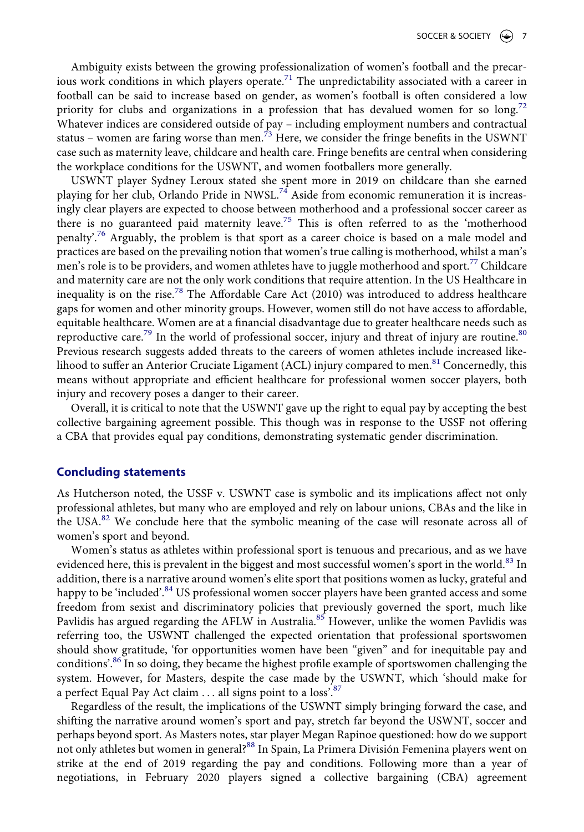Ambiguity exists between the growing professionalization of women's football and the precarious work conditions in which players operate.<sup>71</sup> The unpredictability associated with a career in football can be said to increase based on gender, as women's football is often considered a low priority for clubs and organizations in a profession that has devalued women for so long.<sup>72</sup> Whatever indices are considered outside of pay – including employment numbers and contractual status – women are faring worse than men.<sup> $\overline{73}$  $\overline{73}$  $\overline{73}$ </sup> Here, we consider the fringe benefits in the USWNT case such as maternity leave, childcare and health care. Fringe benefits are central when considering the workplace conditions for the USWNT, and women footballers more generally.

USWNT player Sydney Leroux stated she spent more in 2019 on childcare than she earned playing for her club, Orlando Pride in NWSL.[74](#page-10-48) Aside from economic remuneration it is increasingly clear players are expected to choose between motherhood and a professional soccer career as there is no guaranteed paid maternity leave.<sup>75</sup> This is often referred to as the 'motherhood penalty<sup>76</sup> Arguably, the problem is that sport as a career choice is based on a male model and practices are based on the prevailing notion that women's true calling is motherhood, whilst a man's men's role is to be providers, and women athletes have to juggle motherhood and sport.<sup>[77](#page-10-51)</sup> Childcare and maternity care are not the only work conditions that require attention. In the US Healthcare in inequality is on the rise.<sup>78</sup> The Affordable Care Act  $(2010)$  was introduced to address healthcare gaps for women and other minority groups. However, women still do not have access to affordable, equitable healthcare. Women are at a financial disadvantage due to greater healthcare needs such as reproductive care.<sup>79</sup> In the world of professional soccer, injury and threat of injury are routine.<sup>80</sup> Previous research suggests added threats to the careers of women athletes include increased likelihood to suffer an Anterior Cruciate Ligament (ACL) injury compared to men.<sup>81</sup> Concernedly, this means without appropriate and efficient healthcare for professional women soccer players, both injury and recovery poses a danger to their career.

Overall, it is critical to note that the USWNT gave up the right to equal pay by accepting the best collective bargaining agreement possible. This though was in response to the USSF not offering a CBA that provides equal pay conditions, demonstrating systematic gender discrimination.

#### **Concluding statements**

As Hutcherson noted, the USSF v. USWNT case is symbolic and its implications affect not only professional athletes, but many who are employed and rely on labour unions, CBAs and the like in the USA.<sup>82</sup> We conclude here that the symbolic meaning of the case will resonate across all of women's sport and beyond.

Women's status as athletes within professional sport is tenuous and precarious, and as we have evidenced here, this is prevalent in the biggest and most successful women's sport in the world.<sup>[83](#page-10-57)</sup> In addition, there is a narrative around women's elite sport that positions women as lucky, grateful and happy to be 'included'.<sup>84</sup> US professional women soccer players have been granted access and some freedom from sexist and discriminatory policies that previously governed the sport, much like Pavlidis has argued regarding the AFLW in Australia.<sup>85</sup> However, unlike the women Pavlidis was referring too, the USWNT challenged the expected orientation that professional sportswomen should show gratitude, 'for opportunities women have been "given" and for inequitable pay and conditions'[.86](#page-10-60) In so doing, they became the highest profile example of sportswomen challenging the system. However, for Masters, despite the case made by the USWNT, which 'should make for a perfect Equal Pay Act claim ... all signs point to a loss'.<sup>87</sup>

Regardless of the result, the implications of the USWNT simply bringing forward the case, and shifting the narrative around women's sport and pay, stretch far beyond the USWNT, soccer and perhaps beyond sport. As Masters notes, star player Megan Rapinoe questioned: how do we support not only athletes but women in general?<sup>88</sup> In Spain, La Primera División Femenina players went on strike at the end of 2019 regarding the pay and conditions. Following more than a year of negotiations, in February 2020 players signed a collective bargaining (CBA) agreement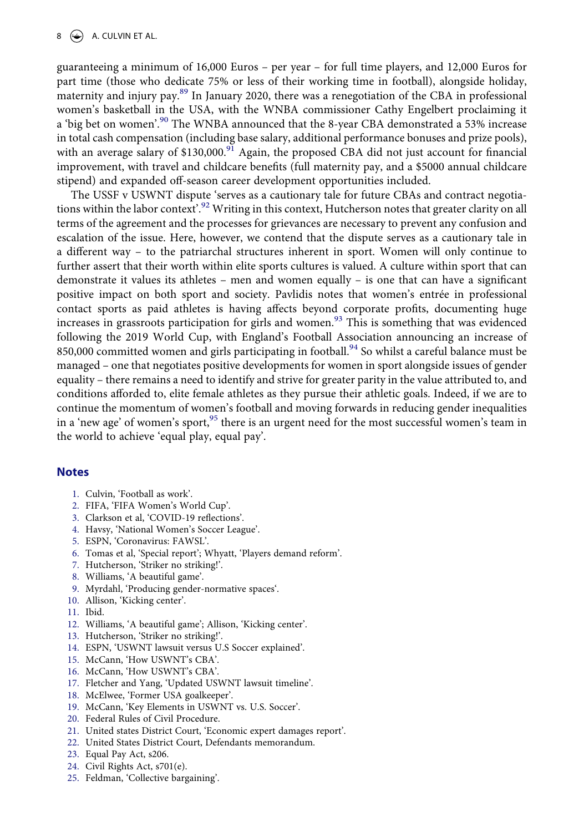guaranteeing a minimum of 16,000 Euros – per year – for full time players, and 12,000 Euros for part time (those who dedicate 75% or less of their working time in football), alongside holiday, maternity and injury pay.<sup>[89](#page-11-2)</sup> In January 2020, there was a renegotiation of the CBA in professional women's basketball in the USA, with the WNBA commissioner Cathy Engelbert proclaiming it a 'big bet on women'.<sup>[90](#page-11-3)</sup> The WNBA announced that the 8-year CBA demonstrated a 53% increase in total cash compensation (including base salary, additional performance bonuses and prize pools), with an average salary of \$130,000.<sup>[91](#page-11-4)</sup> Again, the proposed CBA did not just account for financial improvement, with travel and childcare benefits (full maternity pay, and a \$5000 annual childcare stipend) and expanded off-season career development opportunities included.

The USSF v USWNT dispute 'serves as a cautionary tale for future CBAs and contract negotia-tions within the labor context'.<sup>[92](#page-11-5)</sup> Writing in this context, Hutcherson notes that greater clarity on all terms of the agreement and the processes for grievances are necessary to prevent any confusion and escalation of the issue. Here, however, we contend that the dispute serves as a cautionary tale in a different way – to the patriarchal structures inherent in sport. Women will only continue to further assert that their worth within elite sports cultures is valued. A culture within sport that can demonstrate it values its athletes – men and women equally – is one that can have a significant positive impact on both sport and society. Pavlidis notes that women's entrée in professional contact sports as paid athletes is having affects beyond corporate profits, documenting huge increases in grassroots participation for girls and women.<sup>93</sup> This is something that was evidenced following the 2019 World Cup, with England's Football Association announcing an increase of 850,000 committed women and girls participating in football.<sup>94</sup> So whilst a careful balance must be managed – one that negotiates positive developments for women in sport alongside issues of gender equality – there remains a need to identify and strive for greater parity in the value attributed to, and conditions afforded to, elite female athletes as they pursue their athletic goals. Indeed, if we are to continue the momentum of women's football and moving forwards in reducing gender inequalities in a 'new age' of women's sport,<sup>95</sup> there is an urgent need for the most successful women's team in the world to achieve 'equal play, equal pay'.

#### **Notes**

- <span id="page-9-0"></span>1. Culvin, 'Football as work'.
- <span id="page-9-1"></span>2. FIFA, 'FIFA Women's World Cup'.
- <span id="page-9-2"></span>3. Clarkson et al, 'COVID-19 reflections'.
- <span id="page-9-3"></span>4. Havsy, 'National Women's Soccer League'.
- <span id="page-9-4"></span>5. ESPN, 'Coronavirus: FAWSL'.
- <span id="page-9-5"></span>6. Tomas et al, 'Special report'; Whyatt, 'Players demand reform'.
- <span id="page-9-6"></span>7. Hutcherson, 'Striker no striking!'.
- <span id="page-9-7"></span>8. Williams, 'A beautiful game'.
- <span id="page-9-8"></span>9. Myrdahl, 'Producing gender-normative spaces'.
- <span id="page-9-9"></span>10. Allison, 'Kicking center'.
- <span id="page-9-10"></span>11. Ibid.
- <span id="page-9-11"></span>12. Williams, 'A beautiful game'; Allison, 'Kicking center'.
- <span id="page-9-12"></span>13. Hutcherson, 'Striker no striking!'.
- <span id="page-9-13"></span>14. ESPN, 'USWNT lawsuit versus U.S Soccer explained'.
- <span id="page-9-14"></span>15. McCann, 'How USWNT's CBA'.
- <span id="page-9-15"></span>16. McCann, 'How USWNT's CBA'.
- <span id="page-9-16"></span>17. Fletcher and Yang, 'Updated USWNT lawsuit timeline'.
- <span id="page-9-17"></span>18. McElwee, 'Former USA goalkeeper'.
- <span id="page-9-18"></span>19. McCann, 'Key Elements in USWNT vs. U.S. Soccer'.
- <span id="page-9-19"></span>20. Federal Rules of Civil Procedure.
- <span id="page-9-20"></span>21. United states District Court, 'Economic expert damages report'.
- <span id="page-9-21"></span>22. United States District Court, Defendants memorandum.
- <span id="page-9-22"></span>23. Equal Pay Act, s206.
- <span id="page-9-23"></span>24. Civil Rights Act, s701(e).
- <span id="page-9-24"></span>25. Feldman, 'Collective bargaining'.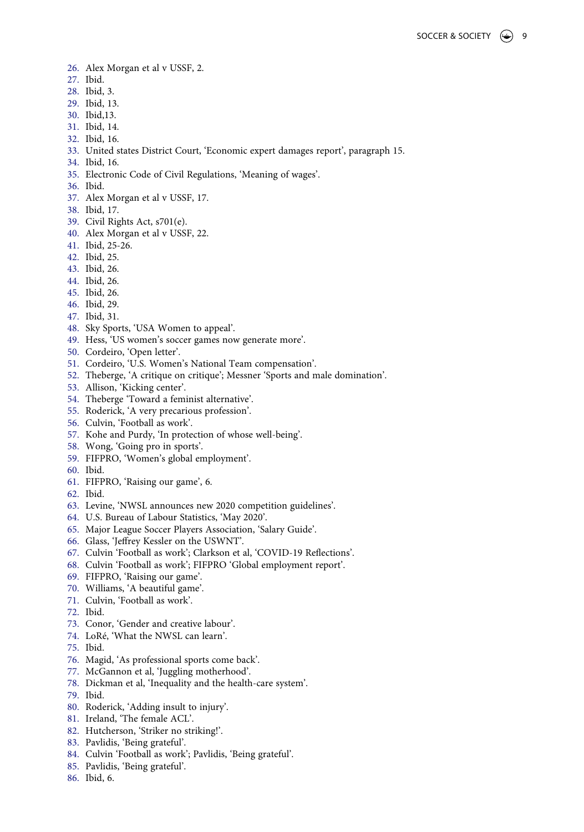- <span id="page-10-0"></span>26. Alex Morgan et al v USSF, 2.
- <span id="page-10-1"></span>27. Ibid.
- <span id="page-10-2"></span>28. Ibid, 3.
- <span id="page-10-3"></span>29. Ibid, 13.
- <span id="page-10-4"></span>30. Ibid,13.
- <span id="page-10-5"></span>31. Ibid, 14.
- <span id="page-10-6"></span>32. Ibid, 16.
- <span id="page-10-7"></span>33. United states District Court, 'Economic expert damages report', paragraph 15.
- <span id="page-10-8"></span>34. Ibid, 16.
- <span id="page-10-9"></span>35. Electronic Code of Civil Regulations, 'Meaning of wages'.
- <span id="page-10-10"></span>36. Ibid.
- <span id="page-10-11"></span>37. Alex Morgan et al v USSF, 17.
- <span id="page-10-12"></span>38. Ibid, 17.
- <span id="page-10-13"></span>39. Civil Rights Act, s701(e).
- <span id="page-10-14"></span>40. Alex Morgan et al v USSF, 22.
- <span id="page-10-15"></span>41. Ibid, 25-26.
- <span id="page-10-16"></span>42. Ibid, 25.
- <span id="page-10-17"></span>43. Ibid, 26.
- <span id="page-10-18"></span>44. Ibid, 26.
- <span id="page-10-19"></span>45. Ibid, 26.
- <span id="page-10-20"></span>46. Ibid, 29.
- <span id="page-10-21"></span>47. Ibid, 31.
- <span id="page-10-22"></span>48. Sky Sports, 'USA Women to appeal'.
- <span id="page-10-23"></span>49. Hess, 'US women's soccer games now generate more'.
- <span id="page-10-24"></span>50. Cordeiro, 'Open letter'.
- <span id="page-10-25"></span>51. Cordeiro, 'U.S. Women's National Team compensation'.
- <span id="page-10-26"></span>52. Theberge, 'A critique on critique'; Messner 'Sports and male domination'.
- <span id="page-10-27"></span>53. Allison, 'Kicking center'.
- <span id="page-10-28"></span>54. Theberge 'Toward a feminist alternative'.
- <span id="page-10-29"></span>55. Roderick, 'A very precarious profession'.
- <span id="page-10-30"></span>56. Culvin, 'Football as work'.
- <span id="page-10-31"></span>57. Kohe and Purdy, 'In protection of whose well-being'.
- <span id="page-10-32"></span>58. Wong, 'Going pro in sports'.
- <span id="page-10-33"></span>59. FIFPRO, 'Women's global employment'.
- <span id="page-10-34"></span>60. Ibid.
- <span id="page-10-35"></span>61. FIFPRO, 'Raising our game', 6.
- <span id="page-10-36"></span>62. Ibid.
- <span id="page-10-37"></span>63. Levine, 'NWSL announces new 2020 competition guidelines'.
- <span id="page-10-38"></span>64. U.S. Bureau of Labour Statistics, 'May 2020'.
- <span id="page-10-39"></span>65. Major League Soccer Players Association, 'Salary Guide'.
- <span id="page-10-40"></span>66. Glass, 'Jeffrey Kessler on the USWNT'.
- <span id="page-10-41"></span>67. Culvin 'Football as work'; Clarkson et al, 'COVID-19 Reflections'.
- <span id="page-10-42"></span>68. Culvin 'Football as work'; FIFPRO 'Global employment report'.
- <span id="page-10-43"></span>69. FIFPRO, 'Raising our game'.
- <span id="page-10-44"></span>70. Williams, 'A beautiful game'.
- <span id="page-10-45"></span>71. Culvin, 'Football as work'.
- <span id="page-10-46"></span>72. Ibid.
- <span id="page-10-47"></span>73. Conor, 'Gender and creative labour'.
- <span id="page-10-48"></span>74. LoRé, 'What the NWSL can learn'.
- <span id="page-10-49"></span>75. Ibid.
- <span id="page-10-50"></span>76. Magid, 'As professional sports come back'.
- <span id="page-10-51"></span>77. McGannon et al, 'Juggling motherhood'.
- <span id="page-10-52"></span>78. Dickman et al, 'Inequality and the health-care system'.
- <span id="page-10-53"></span>79. Ibid.
- <span id="page-10-54"></span>80. Roderick, 'Adding insult to injury'.
- <span id="page-10-55"></span>81. Ireland, 'The female ACL'.
- <span id="page-10-56"></span>82. Hutcherson, 'Striker no striking!'.
- <span id="page-10-57"></span>83. Pavlidis, 'Being grateful'.
- <span id="page-10-58"></span>84. Culvin 'Football as work'; Pavlidis, 'Being grateful'.
- <span id="page-10-59"></span>85. Pavlidis, 'Being grateful'.
- <span id="page-10-60"></span>86. Ibid, 6.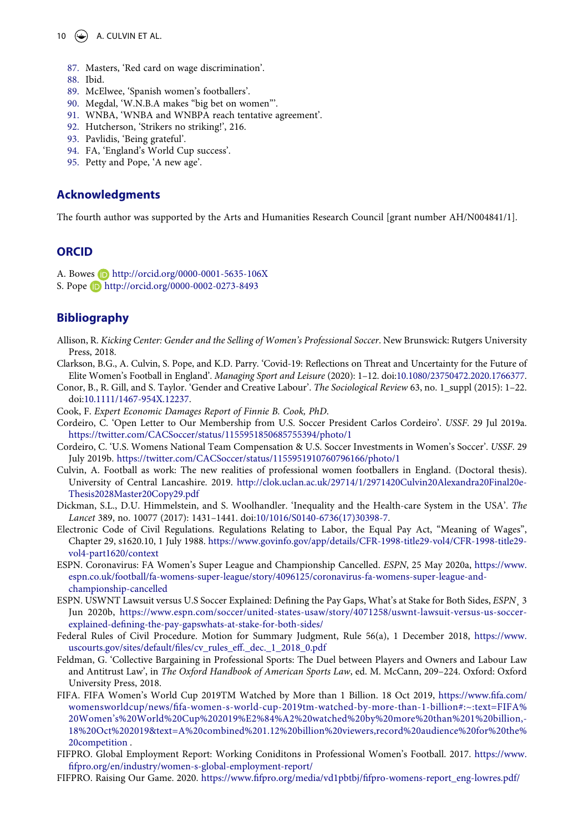10  $\left(\rightarrow\right)$  A. CULVIN ET AL.

- <span id="page-11-0"></span>87. Masters, 'Red card on wage discrimination'.
- <span id="page-11-1"></span>88. Ibid.
- <span id="page-11-2"></span>89. McElwee, 'Spanish women's footballers'.
- <span id="page-11-3"></span>90. Megdal, 'W.N.B.A makes "big bet on women"'.
- <span id="page-11-4"></span>91. WNBA, 'WNBA and WNBPA reach tentative agreement'.
- <span id="page-11-5"></span>92. Hutcherson, 'Strikers no striking!', 216.
- <span id="page-11-6"></span>93. Pavlidis, 'Being grateful'.
- <span id="page-11-7"></span>94. FA, 'England's World Cup success'.
- <span id="page-11-8"></span>95. Petty and Pope, 'A new age'.

#### **Acknowledgments**

The fourth author was supported by the Arts and Humanities Research Council [grant number AH/N004841/1].

#### **ORCID**

- A. Bowes **http://orcid.org/0000-0001-5635-106X**
- S. Pope http://orcid.org/0000-0002-0273-8493

#### **Bibliography**

- Allison, R. *Kicking Center: Gender and the Selling of Women's Professional Soccer*. New Brunswick: Rutgers University Press, 2018.
- Clarkson, B.G., A. Culvin, S. Pope, and K.D. Parry. 'Covid-19: Reflections on Threat and Uncertainty for the Future of Elite Women's Football in England'. *Managing Sport and Leisure* (2020): 1–12. doi:[10.1080/23750472.2020.1766377](https://doi.org/10.1080/23750472.2020.1766377).
- Conor, B., R. Gill, and S. Taylor. 'Gender and Creative Labour'. *The Sociological Review* 63, no. 1\_suppl (2015): 1–22. doi:[10.1111/1467-954X.12237.](https://doi.org/10.1111/1467-954X.12237)
- Cook, F. *Expert Economic Damages Report of Finnie B. Cook, PhD*.
- Cordeiro, C. 'Open Letter to Our Membership from U.S. Soccer President Carlos Cordeiro'. *USSF*. 29 Jul 2019a. <https://twitter.com/CACSoccer/status/1155951850685755394/photo/1>
- Cordeiro, C. 'U.S. Womens National Team Compensation & U.S. Soccer Investments in Women's Soccer'. *USSF*. 29 July 2019b. <https://twitter.com/CACSoccer/status/1155951910760796166/photo/1>
- Culvin, A. Football as work: The new realities of professional women footballers in England. (Doctoral thesis). University of Central Lancashire. 2019. [http://clok.uclan.ac.uk/29714/1/2971420Culvin20Alexandra20Final20e-](http://clok.uclan.ac.uk/29714/1/2971420Culvin20Alexandra20Final20e-Thesis2028Master20Copy29.pdf)[Thesis2028Master20Copy29.pdf](http://clok.uclan.ac.uk/29714/1/2971420Culvin20Alexandra20Final20e-Thesis2028Master20Copy29.pdf)
- Dickman, S.L., D.U. Himmelstein, and S. Woolhandler. 'Inequality and the Health-care System in the USA'. *The Lancet* 389, no. 10077 (2017): 1431–1441. doi:[10/1016/S0140-6736\(17\)30398-7.](https://doi.org/10/1016/S0140-6736(17)30398-7)
- Electronic Code of Civil Regulations. Regulations Relating to Labor, the Equal Pay Act, "Meaning of Wages", Chapter 29, s1620.10, 1 July 1988. [https://www.govinfo.gov/app/details/CFR-1998-title29-vol4/CFR-1998-title29](https://www.govinfo.gov/app/details/CFR-1998-title29-vol4/CFR-1998-title29-vol4-part1620/context) [vol4-part1620/context](https://www.govinfo.gov/app/details/CFR-1998-title29-vol4/CFR-1998-title29-vol4-part1620/context)
- ESPN. Coronavirus: FA Women's Super League and Championship Cancelled. *ESPN*, 25 May 2020a, [https://www.](https://www.espn.co.uk/football/fa-womens-super-league/story/4096125/coronavirus-fa-womens-super-league-and-championship-cancelled) [espn.co.uk/football/fa-womens-super-league/story/4096125/coronavirus-fa-womens-super-league-and](https://www.espn.co.uk/football/fa-womens-super-league/story/4096125/coronavirus-fa-womens-super-league-and-championship-cancelled)[championship-cancelled](https://www.espn.co.uk/football/fa-womens-super-league/story/4096125/coronavirus-fa-womens-super-league-and-championship-cancelled)
- ESPN. USWNT Lawsuit versus U.S Soccer Explained: Defining the Pay Gaps, What's at Stake for Both Sides, *ESPN*¸ 3 Jun 2020b, [https://www.espn.com/soccer/united-states-usaw/story/4071258/uswnt-lawsuit-versus-us-soccer](https://www.espn.com/soccer/united-states-usaw/story/4071258/uswnt-lawsuit-versus-us-soccer-explained-defining-the-pay-gapswhats-at-stake-for-both-sides/)[explained-defining-the-pay-gapswhats-at-stake-for-both-sides/](https://www.espn.com/soccer/united-states-usaw/story/4071258/uswnt-lawsuit-versus-us-soccer-explained-defining-the-pay-gapswhats-at-stake-for-both-sides/)
- Federal Rules of Civil Procedure. Motion for Summary Judgment, Rule 56(a), 1 December 2018, [https://www.](https://www.uscourts.gov/sites/default/files/cv_rules_eff._dec._1_2018_0.pdf) [uscourts.gov/sites/default/files/cv\\_rules\\_eff.\\_dec.\\_1\\_2018\\_0.pdf](https://www.uscourts.gov/sites/default/files/cv_rules_eff._dec._1_2018_0.pdf)
- Feldman, G. 'Collective Bargaining in Professional Sports: The Duel between Players and Owners and Labour Law and Antitrust Law', in *The Oxford Handbook of American Sports Law*, ed. M. McCann, 209–224. Oxford: Oxford University Press, 2018.
- FIFA. FIFA Women's World Cup 2019TM Watched by More than 1 Billion. 18 Oct 2019, [https://www.fifa.com/](https://www.fifa.com/womensworldcup/news/fifa-women-s-world-cup-2019tm-watched-by-more-than-1-billion#:~:text=FIFA%20Women%2019s%20World%20Cup%202019%E2%84%A2%20watched%20by%20more%20than%201%20billion,-18%20Oct%202019%26text=A%20combined%201.12%20billion%20viewers,record%20audience%20for%20the%20competition) [womensworldcup/news/fifa-women-s-world-cup-2019tm-watched-by-more-than-1-billion#:~:text=FIFA%](https://www.fifa.com/womensworldcup/news/fifa-women-s-world-cup-2019tm-watched-by-more-than-1-billion#:~:text=FIFA%20Women%2019s%20World%20Cup%202019%E2%84%A2%20watched%20by%20more%20than%201%20billion,-18%20Oct%202019%26text=A%20combined%201.12%20billion%20viewers,record%20audience%20for%20the%20competition) [20Women's%20World%20Cup%202019%E2%84%A2%20watched%20by%20more%20than%201%20billion,-](https://www.fifa.com/womensworldcup/news/fifa-women-s-world-cup-2019tm-watched-by-more-than-1-billion#:~:text=FIFA%20Women%2019s%20World%20Cup%202019%E2%84%A2%20watched%20by%20more%20than%201%20billion,-18%20Oct%202019%26text=A%20combined%201.12%20billion%20viewers,record%20audience%20for%20the%20competition) [18%20Oct%202019&text=A%20combined%201.12%20billion%20viewers,record%20audience%20for%20the%](https://www.fifa.com/womensworldcup/news/fifa-women-s-world-cup-2019tm-watched-by-more-than-1-billion#:~:text=FIFA%20Women%2019s%20World%20Cup%202019%E2%84%A2%20watched%20by%20more%20than%201%20billion,-18%20Oct%202019%26text=A%20combined%201.12%20billion%20viewers,record%20audience%20for%20the%20competition) [20competition](https://www.fifa.com/womensworldcup/news/fifa-women-s-world-cup-2019tm-watched-by-more-than-1-billion#:~:text=FIFA%20Women%2019s%20World%20Cup%202019%E2%84%A2%20watched%20by%20more%20than%201%20billion,-18%20Oct%202019%26text=A%20combined%201.12%20billion%20viewers,record%20audience%20for%20the%20competition) .
- FIFPRO. Global Employment Report: Working Coniditons in Professional Women's Football. 2017. [https://www.](https://www.fifpro.org/en/industry/women-s-global-employment-report/) [fifpro.org/en/industry/women-s-global-employment-report/](https://www.fifpro.org/en/industry/women-s-global-employment-report/)
- FIFPRO. Raising Our Game. 2020. [https://www.fifpro.org/media/vd1pbtbj/fifpro-womens-report\\_eng-lowres.pdf/](https://www.fifpro.org/media/vd1pbtbj/fifpro-womens-report_eng-lowres.pdf/)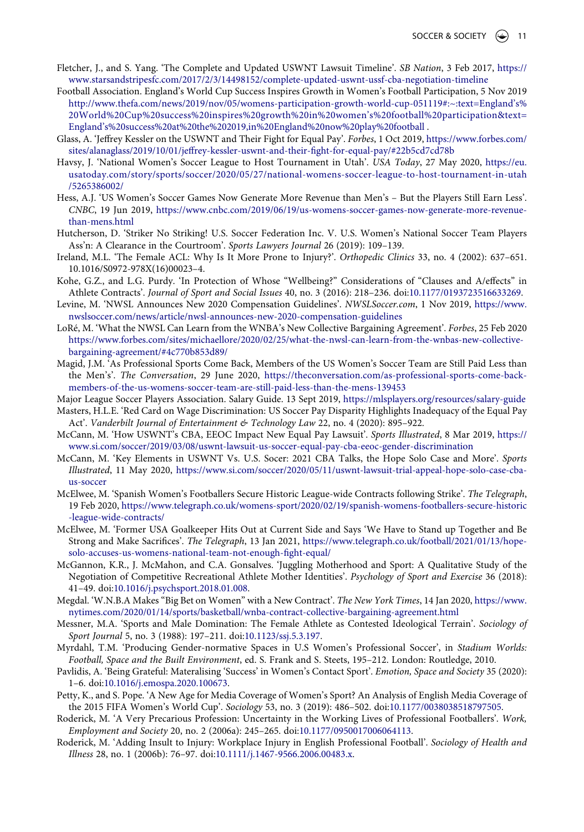- Fletcher, J., and S. Yang. 'The Complete and Updated USWNT Lawsuit Timeline'. *SB Nation*, 3 Feb 2017, [https://](https://www.starsandstripesfc.com/2017/2/3/14498152/complete-updated-uswnt-ussf-cba-negotiation-timeline) [www.starsandstripesfc.com/2017/2/3/14498152/complete-updated-uswnt-ussf-cba-negotiation-timeline](https://www.starsandstripesfc.com/2017/2/3/14498152/complete-updated-uswnt-ussf-cba-negotiation-timeline)
- Football Association. England's World Cup Success Inspires Growth in Women's Football Participation, 5 Nov 2019 [http://www.thefa.com/news/2019/nov/05/womens-participation-growth-world-cup-051119#:~:text=England's%](http://www.thefa.com/news/2019/nov/05/womens-participation-growth-world-cup-051119#:~:text=England%2019s%20World%20Cup%20success%20inspires%20growth%20in%20women%2019s%20football%20participation%26text=England%2019s%20success%20at%20the%202019,in%20England%20now%20play%20football) [20World%20Cup%20success%20inspires%20growth%20in%20women's%20football%20participation&text=](http://www.thefa.com/news/2019/nov/05/womens-participation-growth-world-cup-051119#:~:text=England%2019s%20World%20Cup%20success%20inspires%20growth%20in%20women%2019s%20football%20participation%26text=England%2019s%20success%20at%20the%202019,in%20England%20now%20play%20football) [England's%20success%20at%20the%202019,in%20England%20now%20play%20football](http://www.thefa.com/news/2019/nov/05/womens-participation-growth-world-cup-051119#:~:text=England%2019s%20World%20Cup%20success%20inspires%20growth%20in%20women%2019s%20football%20participation%26text=England%2019s%20success%20at%20the%202019,in%20England%20now%20play%20football) .
- Glass, A. 'Jeffrey Kessler on the USWNT and Their Fight for Equal Pay'. *Forbes*, 1 Oct 2019, [https://www.forbes.com/](https://www.forbes.com/sites/alanaglass/2019/10/01/jeffrey-kessler-uswnt-and-their-fight-for-equal-pay/#22b5cd7cd78b) [sites/alanaglass/2019/10/01/jeffrey-kessler-uswnt-and-their-fight-for-equal-pay/#22b5cd7cd78b](https://www.forbes.com/sites/alanaglass/2019/10/01/jeffrey-kessler-uswnt-and-their-fight-for-equal-pay/#22b5cd7cd78b)
- Havsy, J. 'National Women's Soccer League to Host Tournament in Utah'. *USA Today*, 27 May 2020, [https://eu.](https://eu.usatoday.com/story/sports/soccer/2020/05/27/national-womens-soccer-league-to-host-tournament-in-utah/5265386002/) [usatoday.com/story/sports/soccer/2020/05/27/national-womens-soccer-league-to-host-tournament-in-utah](https://eu.usatoday.com/story/sports/soccer/2020/05/27/national-womens-soccer-league-to-host-tournament-in-utah/5265386002/) [/5265386002/](https://eu.usatoday.com/story/sports/soccer/2020/05/27/national-womens-soccer-league-to-host-tournament-in-utah/5265386002/)
- Hess, A.J. 'US Women's Soccer Games Now Generate More Revenue than Men's But the Players Still Earn Less'. *CNBC*, 19 Jun 2019, [https://www.cnbc.com/2019/06/19/us-womens-soccer-games-now-generate-more-revenue](https://www.cnbc.com/2019/06/19/us-womens-soccer-games-now-generate-more-revenue-than-mens.html)[than-mens.html](https://www.cnbc.com/2019/06/19/us-womens-soccer-games-now-generate-more-revenue-than-mens.html)
- Hutcherson, D. 'Striker No Striking! U.S. Soccer Federation Inc. V. U.S. Women's National Soccer Team Players Ass'n: A Clearance in the Courtroom'. *Sports Lawyers Journal* 26 (2019): 109–139.
- Ireland, M.L. 'The Female ACL: Why Is It More Prone to Injury?'. *Orthopedic Clinics* 33, no. 4 (2002): 637–651. 10.1016/S0972-978X(16)00023–4.
- Kohe, G.Z., and L.G. Purdy. 'In Protection of Whose "Wellbeing?" Considerations of "Clauses and A/effects" in Athlete Contracts'. *Journal of Sport and Social Issues* 40, no. 3 (2016): 218–236. doi:[10.1177/0193723516633269](https://doi.org/10.1177/0193723516633269).
- Levine, M. 'NWSL Announces New 2020 Compensation Guidelines'. *NWSLSoccer.com*, 1 Nov 2019, [https://www.](https://www.nwslsoccer.com/news/article/nwsl-announces-new-2020-compensation-guidelines) [nwslsoccer.com/news/article/nwsl-announces-new-2020-compensation-guidelines](https://www.nwslsoccer.com/news/article/nwsl-announces-new-2020-compensation-guidelines)
- LoRé, M. 'What the NWSL Can Learn from the WNBA's New Collective Bargaining Agreement'. *Forbes*, 25 Feb 2020 [https://www.forbes.com/sites/michaellore/2020/02/25/what-the-nwsl-can-learn-from-the-wnbas-new-collective](https://www.forbes.com/sites/michaellore/2020/02/25/what-the-nwsl-can-learn-from-the-wnbas-new-collective-bargaining-agreement/#4c770b853d89/)[bargaining-agreement/#4c770b853d89/](https://www.forbes.com/sites/michaellore/2020/02/25/what-the-nwsl-can-learn-from-the-wnbas-new-collective-bargaining-agreement/#4c770b853d89/)
- Magid, J.M. 'As Professional Sports Come Back, Members of the US Women's Soccer Team are Still Paid Less than the Men's'. *The Conversation*, 29 June 2020, [https://theconversation.com/as-professional-sports-come-back](https://theconversation.com/as-professional-sports-come-back-members-of-the-us-womens-soccer-team-are-still-paid-less-than-the-mens-139453)[members-of-the-us-womens-soccer-team-are-still-paid-less-than-the-mens-139453](https://theconversation.com/as-professional-sports-come-back-members-of-the-us-womens-soccer-team-are-still-paid-less-than-the-mens-139453)
- Major League Soccer Players Association. Salary Guide. 13 Sept 2019, <https://mlsplayers.org/resources/salary-guide>
- Masters, H.L.E. 'Red Card on Wage Discrimination: US Soccer Pay Disparity Highlights Inadequacy of the Equal Pay Act'. *Vanderbilt Journal of Entertainment & Technology Law* 22, no. 4 (2020): 895–922.
- McCann, M. 'How USWNT's CBA, EEOC Impact New Equal Pay Lawsuit'. *Sports Illustrated*, 8 Mar 2019, [https://](https://www.si.com/soccer/2019/03/08/uswnt-lawsuit-us-soccer-equal-pay-cba-eeoc-gender-discrimination) [www.si.com/soccer/2019/03/08/uswnt-lawsuit-us-soccer-equal-pay-cba-eeoc-gender-discrimination](https://www.si.com/soccer/2019/03/08/uswnt-lawsuit-us-soccer-equal-pay-cba-eeoc-gender-discrimination)
- McCann, M. 'Key Elements in USWNT Vs. U.S. Socer: 2021 CBA Talks, the Hope Solo Case and More'. *Sports Illustrated*, 11 May 2020, [https://www.si.com/soccer/2020/05/11/uswnt-lawsuit-trial-appeal-hope-solo-case-cba](https://www.si.com/soccer/2020/05/11/uswnt-lawsuit-trial-appeal-hope-solo-case-cba-us-soccer)[us-soccer](https://www.si.com/soccer/2020/05/11/uswnt-lawsuit-trial-appeal-hope-solo-case-cba-us-soccer)
- McElwee, M. 'Spanish Women's Footballers Secure Historic League-wide Contracts following Strike'. *The Telegraph*, 19 Feb 2020, [https://www.telegraph.co.uk/womens-sport/2020/02/19/spanish-womens-footballers-secure-historic](https://www.telegraph.co.uk/womens-sport/2020/02/19/spanish-womens-footballers-secure-historic-league-wide-contracts/) [-league-wide-contracts/](https://www.telegraph.co.uk/womens-sport/2020/02/19/spanish-womens-footballers-secure-historic-league-wide-contracts/)
- McElwee, M. 'Former USA Goalkeeper Hits Out at Current Side and Says 'We Have to Stand up Together and Be Strong and Make Sacrifices'. *The Telegraph*, 13 Jan 2021, [https://www.telegraph.co.uk/football/2021/01/13/hope](https://www.telegraph.co.uk/football/2021/01/13/hope-solo-accuses-us-womens-national-team-not-enough-fight-equal/)[solo-accuses-us-womens-national-team-not-enough-fight-equal/](https://www.telegraph.co.uk/football/2021/01/13/hope-solo-accuses-us-womens-national-team-not-enough-fight-equal/)
- McGannon, K.R., J. McMahon, and C.A. Gonsalves. 'Juggling Motherhood and Sport: A Qualitative Study of the Negotiation of Competitive Recreational Athlete Mother Identities'. *Psychology of Sport and Exercise* 36 (2018): 41–49. doi:[10.1016/j.psychsport.2018.01.008](https://doi.org/10.1016/j.psychsport.2018.01.008).
- Megdal. 'W.N.B.A Makes "Big Bet on Women" with a New Contract'. *The New York Times*, 14 Jan 2020, [https://www.](https://www.nytimes.com/2020/01/14/sports/basketball/wnba-contract-collective-bargaining-agreement.html) [nytimes.com/2020/01/14/sports/basketball/wnba-contract-collective-bargaining-agreement.html](https://www.nytimes.com/2020/01/14/sports/basketball/wnba-contract-collective-bargaining-agreement.html)
- Messner, M.A. 'Sports and Male Domination: The Female Athlete as Contested Ideological Terrain'. *Sociology of Sport Journal* 5, no. 3 (1988): 197–211. doi:[10.1123/ssj.5.3.197.](https://doi.org/10.1123/ssj.5.3.197)
- Myrdahl, T.M. 'Producing Gender-normative Spaces in U.S Women's Professional Soccer', in *Stadium Worlds: Football, Space and the Built Environment*, ed. S. Frank and S. Steets, 195–212. London: Routledge, 2010.
- Pavlidis, A. 'Being Grateful: Materalising 'Success' in Women's Contact Sport'. *Emotion, Space and Society* 35 (2020): 1–6. doi:[10.1016/j.emospa.2020.100673](https://doi.org/10.1016/j.emospa.2020.100673).
- Petty, K., and S. Pope. 'A New Age for Media Coverage of Women's Sport? An Analysis of English Media Coverage of the 2015 FIFA Women's World Cup'. *Sociology* 53, no. 3 (2019): 486–502. doi:[10.1177/0038038518797505.](https://doi.org/10.1177/0038038518797505)
- Roderick, M. 'A Very Precarious Profession: Uncertainty in the Working Lives of Professional Footballers'. *Work, Employment and Society* 20, no. 2 (2006a): 245–265. doi:[10.1177/0950017006064113](https://doi.org/10.1177/0950017006064113).
- Roderick, M. 'Adding Insult to Injury: Workplace Injury in English Professional Football'. *Sociology of Health and Illness* 28, no. 1 (2006b): 76–97. doi:[10.1111/j.1467-9566.2006.00483.x.](https://doi.org/10.1111/j.1467-9566.2006.00483.x)